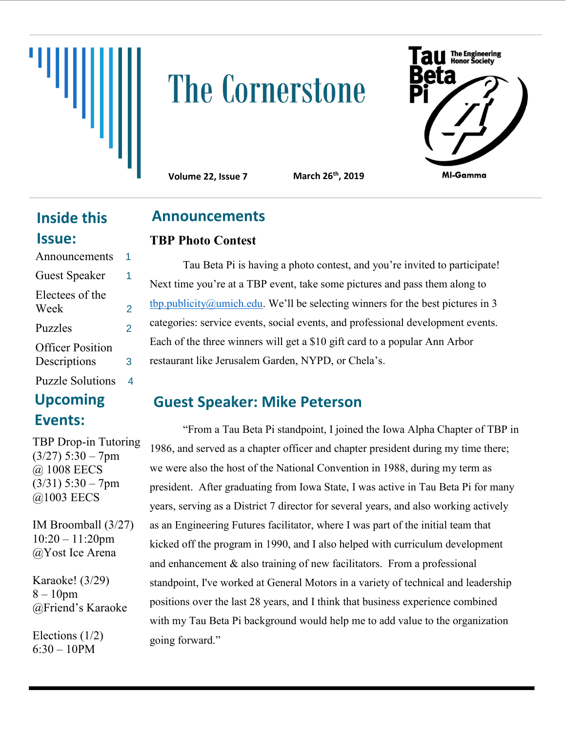# **The Cornerstone**



**Volume 22, Issue 7 March 26th, 2019**

# **Inside this Issue:**

| Announcements                           | 1 |
|-----------------------------------------|---|
| <b>Guest Speaker</b>                    | 1 |
| Electees of the<br>Week                 | 2 |
| <b>Puzzles</b>                          | 2 |
| <b>Officer Position</b><br>Descriptions | 3 |
| <b>Puzzle Solutions</b>                 |   |

# **Upcoming Events:**

TBP Drop-in Tutoring  $(3/27)$  5:30 – 7pm @ 1008 EECS  $(3/31)$  5:30 – 7pm @1003 EECS

IM Broomball (3/27) 10:20 – 11:20pm @Yost Ice Arena

Karaoke! (3/29) 8 – 10pm @Friend's Karaoke

Elections (1/2)  $6:30 - 10$ PM

# **Announcements**

### **TBP Photo Contest**

Tau Beta Pi is having a photo contest, and you're invited to participate! Next time you're at a TBP event, take some pictures and pass them along to  $tbp.publicity@umich.edu. We'll be selecting winners for the best pictures in 3$  $tbp.publicity@umich.edu. We'll be selecting winners for the best pictures in 3$  $tbp.publicity@umich.edu. We'll be selecting winners for the best pictures in 3$ </u> categories: service events, social events, and professional development events. Each of the three winners will get a \$10 gift card to a popular Ann Arbor restaurant like Jerusalem Garden, NYPD, or Chela's.

# **Guest Speaker: Mike Peterson**

"From a Tau Beta Pi standpoint, I joined the Iowa Alpha Chapter of TBP in 1986, and served as a chapter officer and chapter president during my time there; we were also the host of the National Convention in 1988, during my term as president. After graduating from Iowa State, I was active in Tau Beta Pi for many years, serving as a District 7 director for several years, and also working actively as an Engineering Futures facilitator, where I was part of the initial team that kicked off the program in 1990, and I also helped with curriculum development and enhancement & also training of new facilitators. From a professional standpoint, I've worked at General Motors in a variety of technical and leadership positions over the last 28 years, and I think that business experience combined with my Tau Beta Pi background would help me to add value to the organization going forward."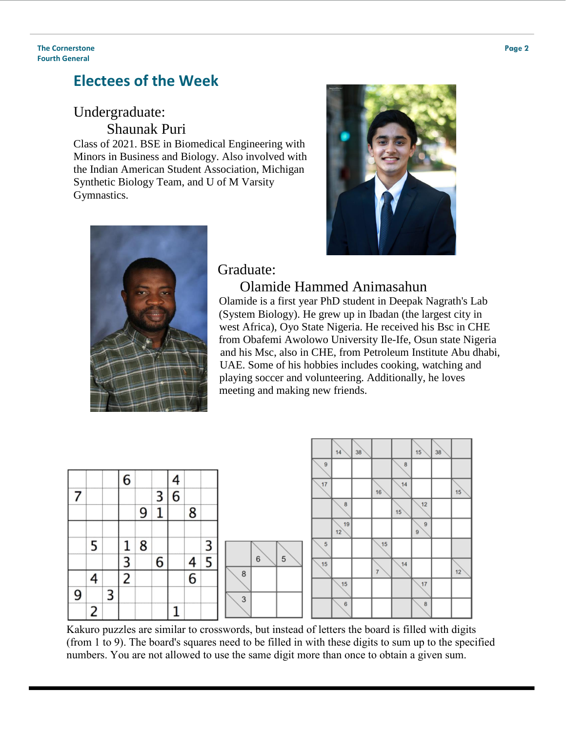## **Electees of the Week**

# Undergraduate:

Shaunak Puri

Class of 2021. BSE in Biomedical Engineering with Minors in Business and Biology. Also involved with the Indian American Student Association, Michigan Synthetic Biology Team, and U of M Varsity Gymnastics.





#### Graduate:

#### Olamide Hammed Animasahun

 Olamide is a first year PhD student in Deepak Nagrath's Lab (System Biology). He grew up in Ibadan (the largest city in west Africa), Oyo State Nigeria. He received his Bsc in CHE from Obafemi Awolowo University Ile-Ife, Osun state Nigeria and his Msc, also in CHE, from Petroleum Institute Abu dhabi, UAE. Some of his hobbies includes cooking, watching and playing soccer and volunteering. Additionally, he loves meeting and making new friends.



Kakuro puzzles are similar to crosswords, but instead of letters the board is filled with digits (from 1 to 9). The board's squares need to be filled in with these digits to sum up to the specified numbers. You are not allowed to use the same digit more than once to obtain a given sum.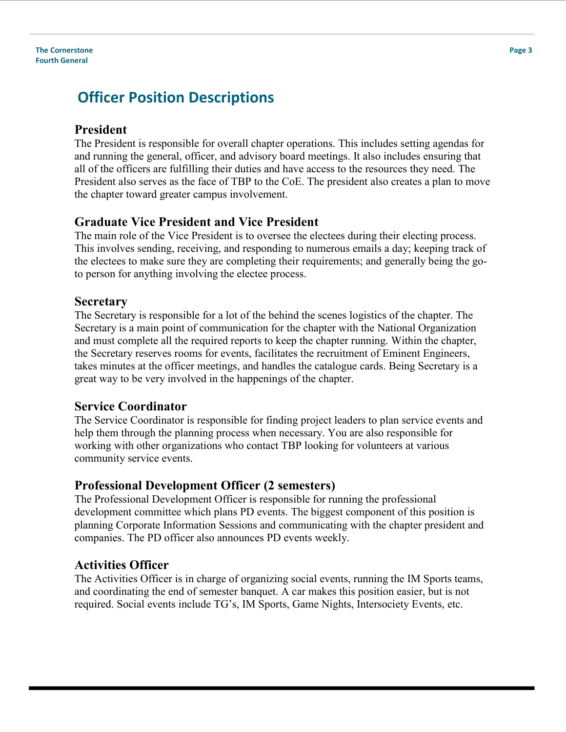#### **The Cornerstone Fourth General**

# **Officer Position Descriptions**

#### **President**

The President is responsible for overall chapter operations. This includes setting agendas for and running the general, officer, and advisory board meetings. It also includes ensuring that all of the officers are fulfilling their duties and have access to the resources they need. The President also serves as the face of TBP to the CoE. The president also creates a plan to move the chapter toward greater campus involvement.

#### **Graduate Vice President and Vice President**

The main role of the Vice President is to oversee the electees during their electing process. This involves sending, receiving, and responding to numerous emails a day; keeping track of the electees to make sure they are completing their requirements; and generally being the goto person for anything involving the electee process.

#### **Secretary**

The Secretary is responsible for a lot of the behind the scenes logistics of the chapter. The Secretary is a main point of communication for the chapter with the National Organization and must complete all the required reports to keep the chapter running. Within the chapter, the Secretary reserves rooms for events, facilitates the recruitment of Eminent Engineers, takes minutes at the officer meetings, and handles the catalogue cards. Being Secretary is a great way to be very involved in the happenings of the chapter.

#### **Service Coordinator**

The Service Coordinator is responsible for finding project leaders to plan service events and help them through the planning process when necessary. You are also responsible for working with other organizations who contact TBP looking for volunteers at various community service events.

#### **Professional Development Officer (2 semesters)**

The Professional Development Officer is responsible for running the professional development committee which plans PD events. The biggest component of this position is planning Corporate Information Sessions and communicating with the chapter president and companies. The PD officer also announces PD events weekly.

#### **Activities Officer**

The Activities Officer is in charge of organizing social events, running the IM Sports teams, and coordinating the end of semester banquet. A car makes this position easier, but is not required. Social events include TG's, IM Sports, Game Nights, Intersociety Events, etc.